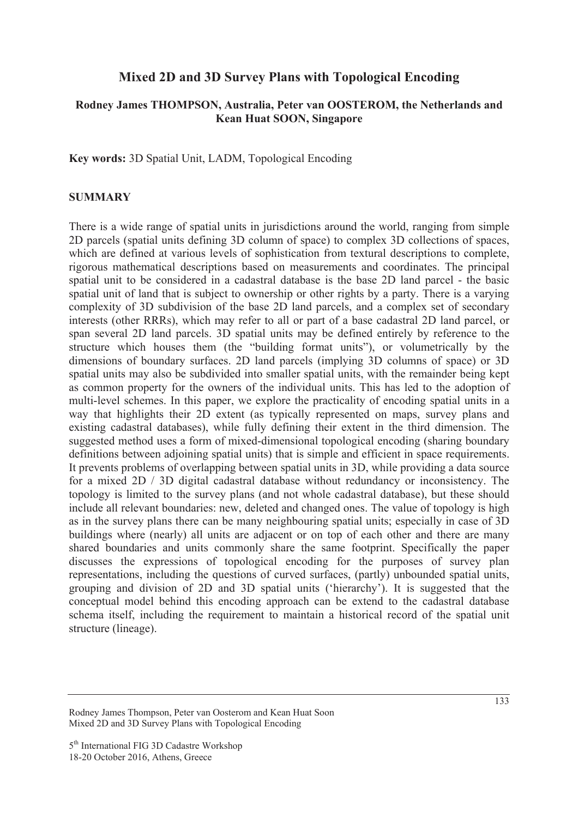## **Mixed 2D and 3D Survey Plans with Topological Encoding**

### **Rodney James THOMPSON, Australia, Peter van OOSTEROM, the Netherlands and Kean Huat SOON, Singapore**

**Key words:** 3D Spatial Unit, LADM, Topological Encoding

#### **SUMMARY**

There is a wide range of spatial units in jurisdictions around the world, ranging from simple 2D parcels (spatial units defining 3D column of space) to complex 3D collections of spaces, which are defined at various levels of sophistication from textural descriptions to complete, rigorous mathematical descriptions based on measurements and coordinates. The principal spatial unit to be considered in a cadastral database is the base 2D land parcel - the basic spatial unit of land that is subject to ownership or other rights by a party. There is a varying complexity of 3D subdivision of the base 2D land parcels, and a complex set of secondary interests (other RRRs), which may refer to all or part of a base cadastral 2D land parcel, or span several 2D land parcels. 3D spatial units may be defined entirely by reference to the structure which houses them (the "building format units"), or volumetrically by the dimensions of boundary surfaces. 2D land parcels (implying 3D columns of space) or 3D spatial units may also be subdivided into smaller spatial units, with the remainder being kept as common property for the owners of the individual units. This has led to the adoption of multi-level schemes. In this paper, we explore the practicality of encoding spatial units in a way that highlights their 2D extent (as typically represented on maps, survey plans and existing cadastral databases), while fully defining their extent in the third dimension. The suggested method uses a form of mixed-dimensional topological encoding (sharing boundary definitions between adjoining spatial units) that is simple and efficient in space requirements. It prevents problems of overlapping between spatial units in 3D, while providing a data source for a mixed 2D / 3D digital cadastral database without redundancy or inconsistency. The topology is limited to the survey plans (and not whole cadastral database), but these should include all relevant boundaries: new, deleted and changed ones. The value of topology is high as in the survey plans there can be many neighbouring spatial units; especially in case of 3D buildings where (nearly) all units are adjacent or on top of each other and there are many shared boundaries and units commonly share the same footprint. Specifically the paper discusses the expressions of topological encoding for the purposes of survey plan representations, including the questions of curved surfaces, (partly) unbounded spatial units, grouping and division of 2D and 3D spatial units ('hierarchy'). It is suggested that the conceptual model behind this encoding approach can be extend to the cadastral database schema itself, including the requirement to maintain a historical record of the spatial unit structure (lineage).

Rodney James Thompson, Peter van Oosterom and Kean Huat Soon Mixed 2D and 3D Survey Plans with Topological Encoding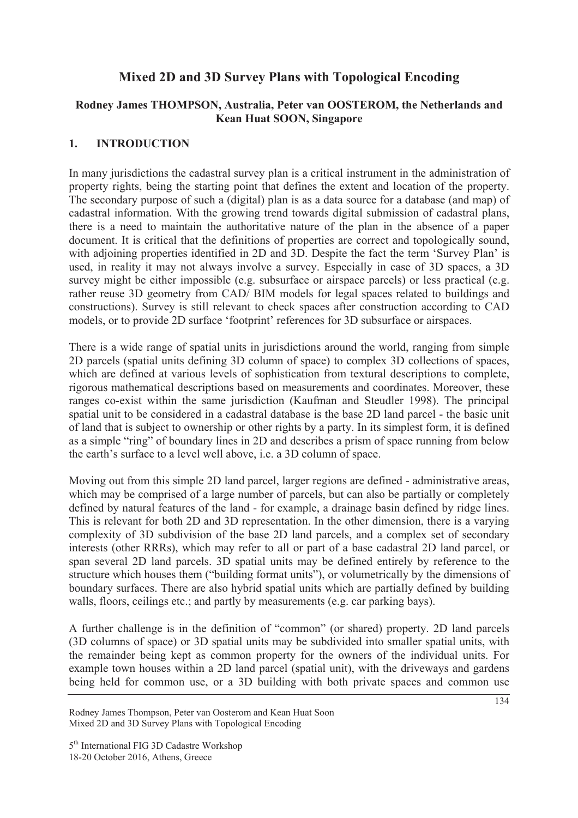# **Mixed 2D and 3D Survey Plans with Topological Encoding**

## **Rodney James THOMPSON, Australia, Peter van OOSTEROM, the Netherlands and Kean Huat SOON, Singapore**

## **1. INTRODUCTION**

In many jurisdictions the cadastral survey plan is a critical instrument in the administration of property rights, being the starting point that defines the extent and location of the property. The secondary purpose of such a (digital) plan is as a data source for a database (and map) of cadastral information. With the growing trend towards digital submission of cadastral plans, there is a need to maintain the authoritative nature of the plan in the absence of a paper document. It is critical that the definitions of properties are correct and topologically sound, with adjoining properties identified in 2D and 3D. Despite the fact the term 'Survey Plan' is used, in reality it may not always involve a survey. Especially in case of 3D spaces, a 3D survey might be either impossible (e.g. subsurface or airspace parcels) or less practical (e.g. rather reuse 3D geometry from CAD/ BIM models for legal spaces related to buildings and constructions). Survey is still relevant to check spaces after construction according to CAD models, or to provide 2D surface 'footprint' references for 3D subsurface or airspaces.

There is a wide range of spatial units in jurisdictions around the world, ranging from simple 2D parcels (spatial units defining 3D column of space) to complex 3D collections of spaces, which are defined at various levels of sophistication from textural descriptions to complete, rigorous mathematical descriptions based on measurements and coordinates. Moreover, these ranges co-exist within the same jurisdiction (Kaufman and Steudler 1998). The principal spatial unit to be considered in a cadastral database is the base 2D land parcel - the basic unit of land that is subject to ownership or other rights by a party. In its simplest form, it is defined as a simple "ring" of boundary lines in 2D and describes a prism of space running from below the earth's surface to a level well above, i.e. a 3D column of space.

Moving out from this simple 2D land parcel, larger regions are defined - administrative areas, which may be comprised of a large number of parcels, but can also be partially or completely defined by natural features of the land - for example, a drainage basin defined by ridge lines. This is relevant for both 2D and 3D representation. In the other dimension, there is a varying complexity of 3D subdivision of the base 2D land parcels, and a complex set of secondary interests (other RRRs), which may refer to all or part of a base cadastral 2D land parcel, or span several 2D land parcels. 3D spatial units may be defined entirely by reference to the structure which houses them ("building format units"), or volumetrically by the dimensions of boundary surfaces. There are also hybrid spatial units which are partially defined by building walls, floors, ceilings etc.; and partly by measurements (e.g. car parking bays).

A further challenge is in the definition of "common" (or shared) property. 2D land parcels (3D columns of space) or 3D spatial units may be subdivided into smaller spatial units, with the remainder being kept as common property for the owners of the individual units. For example town houses within a 2D land parcel (spatial unit), with the driveways and gardens being held for common use, or a 3D building with both private spaces and common use

Rodney James Thompson, Peter van Oosterom and Kean Huat Soon Mixed 2D and 3D Survey Plans with Topological Encoding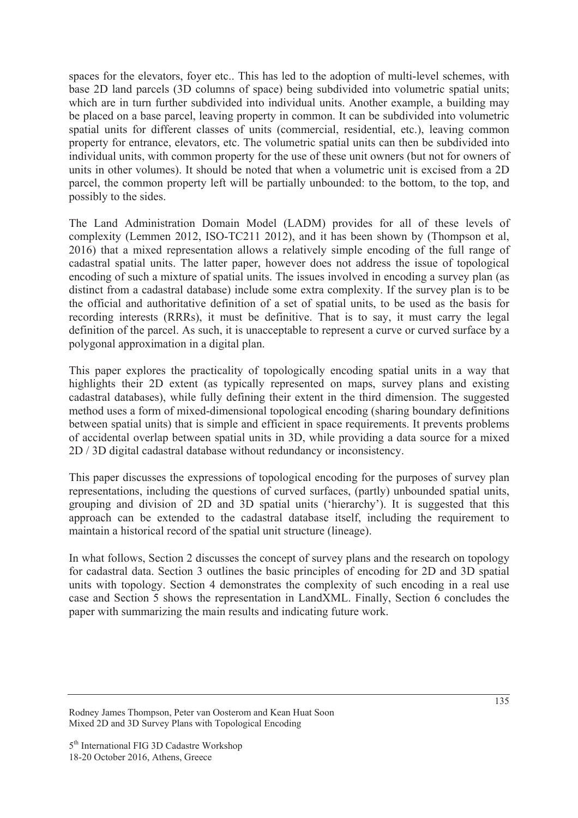spaces for the elevators, foyer etc.. This has led to the adoption of multi-level schemes, with base 2D land parcels (3D columns of space) being subdivided into volumetric spatial units; which are in turn further subdivided into individual units. Another example, a building may be placed on a base parcel, leaving property in common. It can be subdivided into volumetric spatial units for different classes of units (commercial, residential, etc.), leaving common property for entrance, elevators, etc. The volumetric spatial units can then be subdivided into individual units, with common property for the use of these unit owners (but not for owners of units in other volumes). It should be noted that when a volumetric unit is excised from a 2D parcel, the common property left will be partially unbounded: to the bottom, to the top, and possibly to the sides.

The Land Administration Domain Model (LADM) provides for all of these levels of complexity (Lemmen 2012, ISO-TC211 2012), and it has been shown by (Thompson et al, 2016) that a mixed representation allows a relatively simple encoding of the full range of cadastral spatial units. The latter paper, however does not address the issue of topological encoding of such a mixture of spatial units. The issues involved in encoding a survey plan (as distinct from a cadastral database) include some extra complexity. If the survey plan is to be the official and authoritative definition of a set of spatial units, to be used as the basis for recording interests (RRRs), it must be definitive. That is to say, it must carry the legal definition of the parcel. As such, it is unacceptable to represent a curve or curved surface by a polygonal approximation in a digital plan.

This paper explores the practicality of topologically encoding spatial units in a way that highlights their 2D extent (as typically represented on maps, survey plans and existing cadastral databases), while fully defining their extent in the third dimension. The suggested method uses a form of mixed-dimensional topological encoding (sharing boundary definitions between spatial units) that is simple and efficient in space requirements. It prevents problems of accidental overlap between spatial units in 3D, while providing a data source for a mixed 2D / 3D digital cadastral database without redundancy or inconsistency.

This paper discusses the expressions of topological encoding for the purposes of survey plan representations, including the questions of curved surfaces, (partly) unbounded spatial units, grouping and division of 2D and 3D spatial units ('hierarchy'). It is suggested that this approach can be extended to the cadastral database itself, including the requirement to maintain a historical record of the spatial unit structure (lineage).

In what follows, Section 2 discusses the concept of survey plans and the research on topology for cadastral data. Section 3 outlines the basic principles of encoding for 2D and 3D spatial units with topology. Section 4 demonstrates the complexity of such encoding in a real use case and Section 5 shows the representation in LandXML. Finally, Section 6 concludes the paper with summarizing the main results and indicating future work.

Rodney James Thompson, Peter van Oosterom and Kean Huat Soon Mixed 2D and 3D Survey Plans with Topological Encoding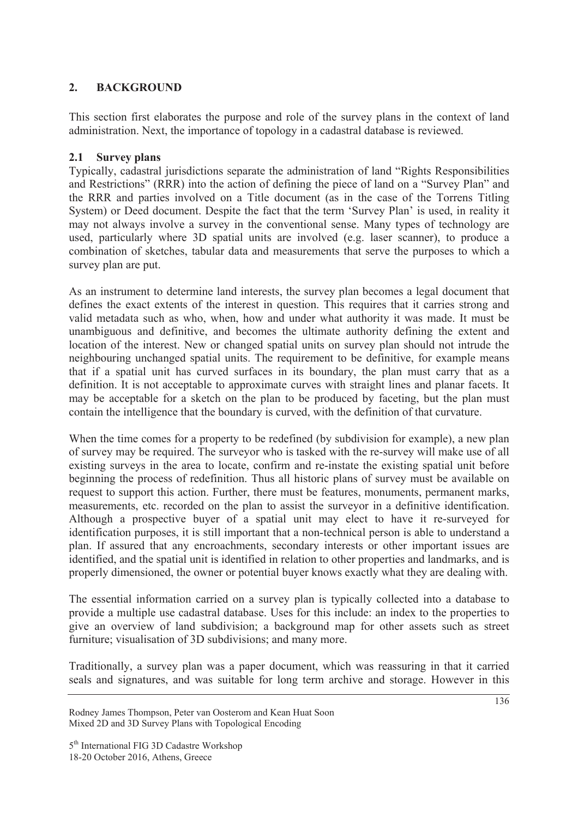## **2. BACKGROUND**

This section first elaborates the purpose and role of the survey plans in the context of land administration. Next, the importance of topology in a cadastral database is reviewed.

## **2.1 Survey plans**

Typically, cadastral jurisdictions separate the administration of land "Rights Responsibilities and Restrictions" (RRR) into the action of defining the piece of land on a "Survey Plan" and the RRR and parties involved on a Title document (as in the case of the Torrens Titling System) or Deed document. Despite the fact that the term 'Survey Plan' is used, in reality it may not always involve a survey in the conventional sense. Many types of technology are used, particularly where 3D spatial units are involved (e.g. laser scanner), to produce a combination of sketches, tabular data and measurements that serve the purposes to which a survey plan are put.

As an instrument to determine land interests, the survey plan becomes a legal document that defines the exact extents of the interest in question. This requires that it carries strong and valid metadata such as who, when, how and under what authority it was made. It must be unambiguous and definitive, and becomes the ultimate authority defining the extent and location of the interest. New or changed spatial units on survey plan should not intrude the neighbouring unchanged spatial units. The requirement to be definitive, for example means that if a spatial unit has curved surfaces in its boundary, the plan must carry that as a definition. It is not acceptable to approximate curves with straight lines and planar facets. It may be acceptable for a sketch on the plan to be produced by faceting, but the plan must contain the intelligence that the boundary is curved, with the definition of that curvature.

When the time comes for a property to be redefined (by subdivision for example), a new plan of survey may be required. The surveyor who is tasked with the re-survey will make use of all existing surveys in the area to locate, confirm and re-instate the existing spatial unit before beginning the process of redefinition. Thus all historic plans of survey must be available on request to support this action. Further, there must be features, monuments, permanent marks, measurements, etc. recorded on the plan to assist the surveyor in a definitive identification. Although a prospective buyer of a spatial unit may elect to have it re-surveyed for identification purposes, it is still important that a non-technical person is able to understand a plan. If assured that any encroachments, secondary interests or other important issues are identified, and the spatial unit is identified in relation to other properties and landmarks, and is properly dimensioned, the owner or potential buyer knows exactly what they are dealing with.

The essential information carried on a survey plan is typically collected into a database to provide a multiple use cadastral database. Uses for this include: an index to the properties to give an overview of land subdivision; a background map for other assets such as street furniture; visualisation of 3D subdivisions; and many more.

Traditionally, a survey plan was a paper document, which was reassuring in that it carried seals and signatures, and was suitable for long term archive and storage. However in this

Rodney James Thompson, Peter van Oosterom and Kean Huat Soon Mixed 2D and 3D Survey Plans with Topological Encoding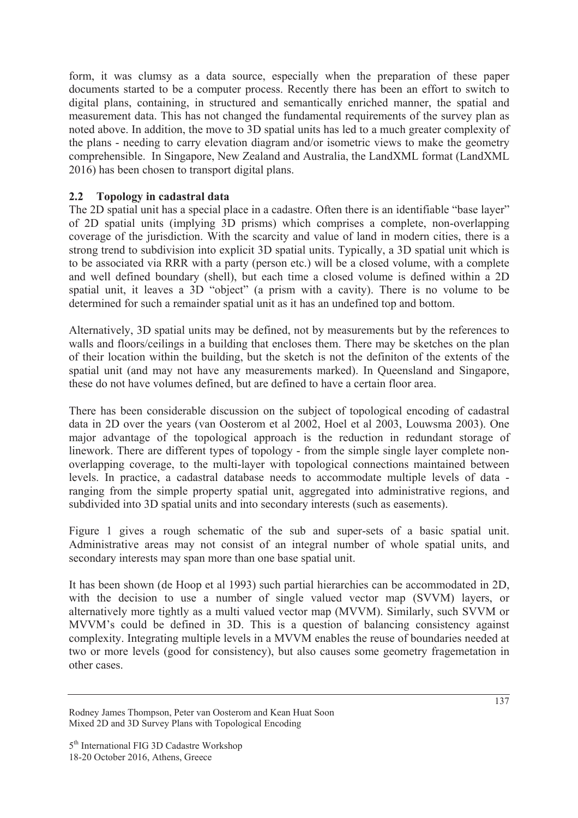form, it was clumsy as a data source, especially when the preparation of these paper documents started to be a computer process. Recently there has been an effort to switch to digital plans, containing, in structured and semantically enriched manner, the spatial and measurement data. This has not changed the fundamental requirements of the survey plan as noted above. In addition, the move to 3D spatial units has led to a much greater complexity of the plans - needing to carry elevation diagram and/or isometric views to make the geometry comprehensible. In Singapore, New Zealand and Australia, the LandXML format (LandXML 2016) has been chosen to transport digital plans.

### **2.2 Topology in cadastral data**

The 2D spatial unit has a special place in a cadastre. Often there is an identifiable "base layer" of 2D spatial units (implying 3D prisms) which comprises a complete, non-overlapping coverage of the jurisdiction. With the scarcity and value of land in modern cities, there is a strong trend to subdivision into explicit 3D spatial units. Typically, a 3D spatial unit which is to be associated via RRR with a party (person etc.) will be a closed volume, with a complete and well defined boundary (shell), but each time a closed volume is defined within a 2D spatial unit, it leaves a 3D "object" (a prism with a cavity). There is no volume to be determined for such a remainder spatial unit as it has an undefined top and bottom.

Alternatively, 3D spatial units may be defined, not by measurements but by the references to walls and floors/ceilings in a building that encloses them. There may be sketches on the plan of their location within the building, but the sketch is not the definiton of the extents of the spatial unit (and may not have any measurements marked). In Queensland and Singapore, these do not have volumes defined, but are defined to have a certain floor area.

There has been considerable discussion on the subject of topological encoding of cadastral data in 2D over the years (van Oosterom et al 2002, Hoel et al 2003, Louwsma 2003). One major advantage of the topological approach is the reduction in redundant storage of linework. There are different types of topology - from the simple single layer complete nonoverlapping coverage, to the multi-layer with topological connections maintained between levels. In practice, a cadastral database needs to accommodate multiple levels of data ranging from the simple property spatial unit, aggregated into administrative regions, and subdivided into 3D spatial units and into secondary interests (such as easements).

Figure 1 gives a rough schematic of the sub and super-sets of a basic spatial unit. Administrative areas may not consist of an integral number of whole spatial units, and secondary interests may span more than one base spatial unit.

It has been shown (de Hoop et al 1993) such partial hierarchies can be accommodated in 2D, with the decision to use a number of single valued vector map (SVVM) layers, or alternatively more tightly as a multi valued vector map (MVVM). Similarly, such SVVM or MVVM's could be defined in 3D. This is a question of balancing consistency against complexity. Integrating multiple levels in a MVVM enables the reuse of boundaries needed at two or more levels (good for consistency), but also causes some geometry fragemetation in other cases.

Rodney James Thompson, Peter van Oosterom and Kean Huat Soon Mixed 2D and 3D Survey Plans with Topological Encoding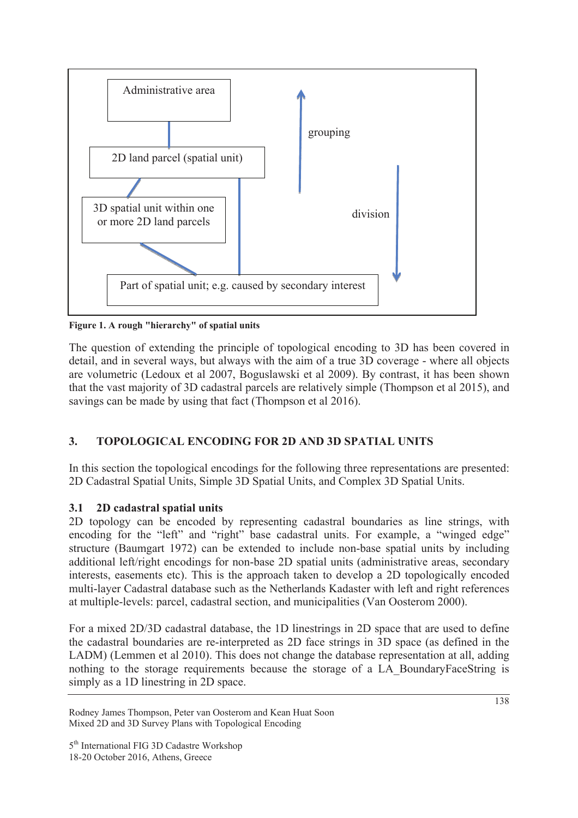

**Figure 1. A rough "hierarchy" of spatial units** 

The question of extending the principle of topological encoding to 3D has been covered in detail, and in several ways, but always with the aim of a true 3D coverage - where all objects are volumetric (Ledoux et al 2007, Boguslawski et al 2009). By contrast, it has been shown that the vast majority of 3D cadastral parcels are relatively simple (Thompson et al 2015), and savings can be made by using that fact (Thompson et al 2016).

# **3. TOPOLOGICAL ENCODING FOR 2D AND 3D SPATIAL UNITS**

In this section the topological encodings for the following three representations are presented: 2D Cadastral Spatial Units, Simple 3D Spatial Units, and Complex 3D Spatial Units.

# **3.1 2D cadastral spatial units**

2D topology can be encoded by representing cadastral boundaries as line strings, with encoding for the "left" and "right" base cadastral units. For example, a "winged edge" structure (Baumgart 1972) can be extended to include non-base spatial units by including additional left/right encodings for non-base 2D spatial units (administrative areas, secondary interests, easements etc). This is the approach taken to develop a 2D topologically encoded multi-layer Cadastral database such as the Netherlands Kadaster with left and right references at multiple-levels: parcel, cadastral section, and municipalities (Van Oosterom 2000).

For a mixed 2D/3D cadastral database, the 1D linestrings in 2D space that are used to define the cadastral boundaries are re-interpreted as 2D face strings in 3D space (as defined in the LADM) (Lemmen et al 2010). This does not change the database representation at all, adding nothing to the storage requirements because the storage of a LA\_BoundaryFaceString is simply as a 1D linestring in 2D space.

Rodney James Thompson, Peter van Oosterom and Kean Huat Soon Mixed 2D and 3D Survey Plans with Topological Encoding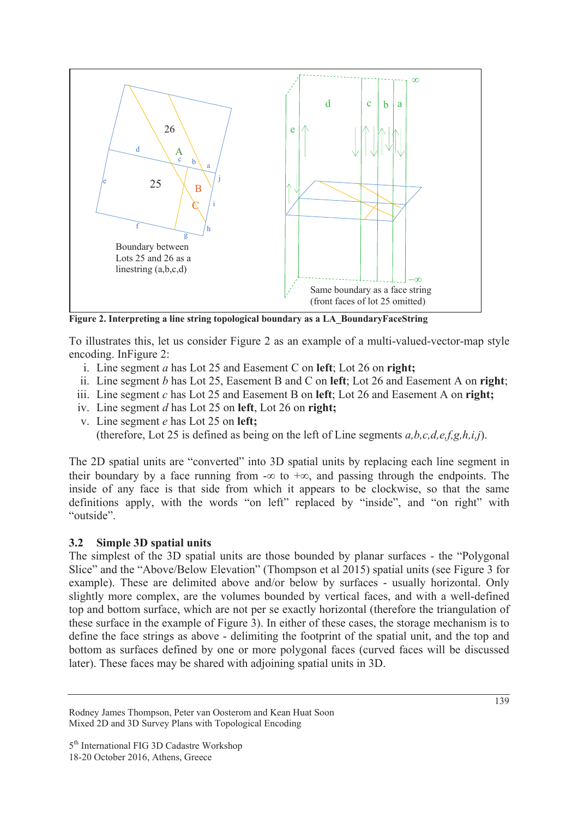

**Figure 2. Interpreting a line string topological boundary as a LA\_BoundaryFaceString** 

To illustrates this, let us consider Figure 2 as an example of a multi-valued-vector-map style encoding. InFigure 2:

- i. Line segment *a* has Lot 25 and Easement C on **left**; Lot 26 on **right;**
- ii. Line segment *b* has Lot 25, Easement B and C on **left**; Lot 26 and Easement A on **right**;
- iii. Line segment *c* has Lot 25 and Easement B on **left**; Lot 26 and Easement A on **right;**
- iv. Line segment *d* has Lot 25 on **left**, Lot 26 on **right;**
- v. Line segment *e* has Lot 25 on **left;** (therefore, Lot 25 is defined as being on the left of Line segments *a,b,c,d,e,f,g,h,i,j*).

The 2D spatial units are "converted" into 3D spatial units by replacing each line segment in their boundary by a face running from  $-\infty$  to  $+\infty$ , and passing through the endpoints. The inside of any face is that side from which it appears to be clockwise, so that the same definitions apply, with the words "on left" replaced by "inside", and "on right" with "outside".

## **3.2 Simple 3D spatial units**

The simplest of the 3D spatial units are those bounded by planar surfaces - the "Polygonal Slice" and the "Above/Below Elevation" (Thompson et al 2015) spatial units (see Figure 3 for example). These are delimited above and/or below by surfaces - usually horizontal. Only slightly more complex, are the volumes bounded by vertical faces, and with a well-defined top and bottom surface, which are not per se exactly horizontal (therefore the triangulation of these surface in the example of Figure 3). In either of these cases, the storage mechanism is to define the face strings as above - delimiting the footprint of the spatial unit, and the top and bottom as surfaces defined by one or more polygonal faces (curved faces will be discussed later). These faces may be shared with adjoining spatial units in 3D.

Rodney James Thompson, Peter van Oosterom and Kean Huat Soon Mixed 2D and 3D Survey Plans with Topological Encoding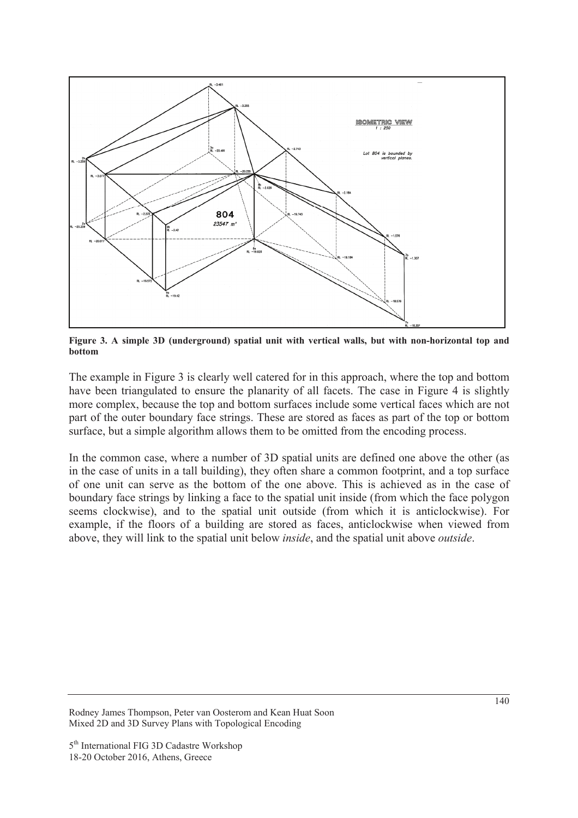

**Figure 3. A simple 3D (underground) spatial unit with vertical walls, but with non-horizontal top and bottom** 

The example in Figure 3 is clearly well catered for in this approach, where the top and bottom have been triangulated to ensure the planarity of all facets. The case in Figure 4 is slightly more complex, because the top and bottom surfaces include some vertical faces which are not part of the outer boundary face strings. These are stored as faces as part of the top or bottom surface, but a simple algorithm allows them to be omitted from the encoding process.

In the common case, where a number of 3D spatial units are defined one above the other (as in the case of units in a tall building), they often share a common footprint, and a top surface of one unit can serve as the bottom of the one above. This is achieved as in the case of boundary face strings by linking a face to the spatial unit inside (from which the face polygon seems clockwise), and to the spatial unit outside (from which it is anticlockwise). For example, if the floors of a building are stored as faces, anticlockwise when viewed from above, they will link to the spatial unit below *inside*, and the spatial unit above *outside*.

Rodney James Thompson, Peter van Oosterom and Kean Huat Soon Mixed 2D and 3D Survey Plans with Topological Encoding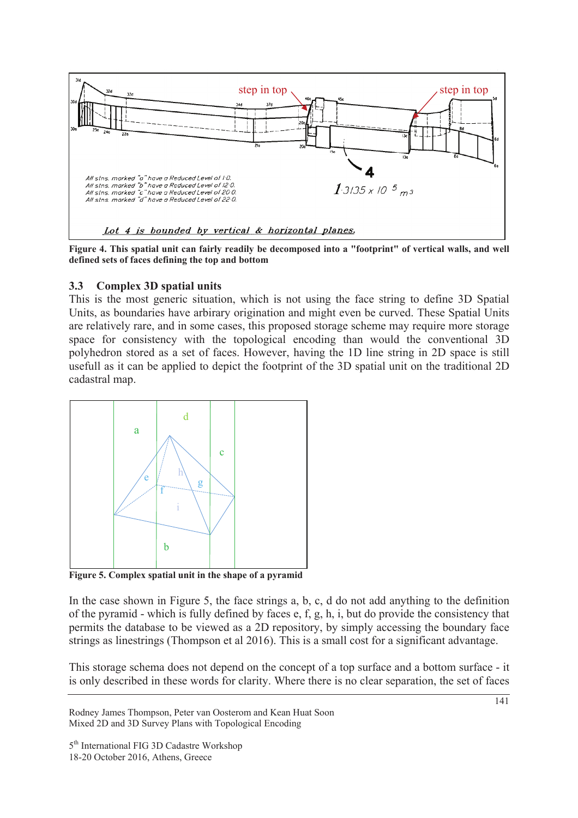

**Figure 4. This spatial unit can fairly readily be decomposed into a "footprint" of vertical walls, and well defined sets of faces defining the top and bottom** 

#### **3.3 Complex 3D spatial units**

This is the most generic situation, which is not using the face string to define 3D Spatial Units, as boundaries have arbirary origination and might even be curved. These Spatial Units are relatively rare, and in some cases, this proposed storage scheme may require more storage space for consistency with the topological encoding than would the conventional 3D polyhedron stored as a set of faces. However, having the 1D line string in 2D space is still usefull as it can be applied to depict the footprint of the 3D spatial unit on the traditional 2D cadastral map.



**Figure 5. Complex spatial unit in the shape of a pyramid** 

In the case shown in Figure 5, the face strings a, b, c, d do not add anything to the definition of the pyramid - which is fully defined by faces e, f, g, h, i, but do provide the consistency that permits the database to be viewed as a 2D repository, by simply accessing the boundary face strings as linestrings (Thompson et al 2016). This is a small cost for a significant advantage.

This storage schema does not depend on the concept of a top surface and a bottom surface - it is only described in these words for clarity. Where there is no clear separation, the set of faces

Rodney James Thompson, Peter van Oosterom and Kean Huat Soon Mixed 2D and 3D Survey Plans with Topological Encoding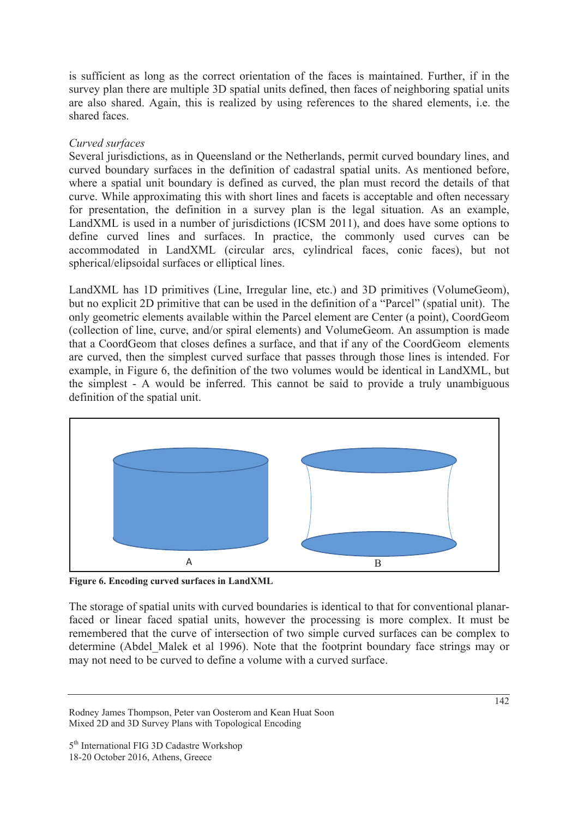is sufficient as long as the correct orientation of the faces is maintained. Further, if in the survey plan there are multiple 3D spatial units defined, then faces of neighboring spatial units are also shared. Again, this is realized by using references to the shared elements, i.e. the shared faces.

#### *Curved surfaces*

Several jurisdictions, as in Queensland or the Netherlands, permit curved boundary lines, and curved boundary surfaces in the definition of cadastral spatial units. As mentioned before, where a spatial unit boundary is defined as curved, the plan must record the details of that curve. While approximating this with short lines and facets is acceptable and often necessary for presentation, the definition in a survey plan is the legal situation. As an example, LandXML is used in a number of jurisdictions (ICSM 2011), and does have some options to define curved lines and surfaces. In practice, the commonly used curves can be accommodated in LandXML (circular arcs, cylindrical faces, conic faces), but not spherical/elipsoidal surfaces or elliptical lines.

LandXML has 1D primitives (Line, Irregular line, etc.) and 3D primitives (VolumeGeom), but no explicit 2D primitive that can be used in the definition of a "Parcel" (spatial unit). The only geometric elements available within the Parcel element are Center (a point), CoordGeom (collection of line, curve, and/or spiral elements) and VolumeGeom. An assumption is made that a CoordGeom that closes defines a surface, and that if any of the CoordGeom elements are curved, then the simplest curved surface that passes through those lines is intended. For example, in Figure 6, the definition of the two volumes would be identical in LandXML, but the simplest - A would be inferred. This cannot be said to provide a truly unambiguous definition of the spatial unit.



**Figure 6. Encoding curved surfaces in LandXML** 

The storage of spatial units with curved boundaries is identical to that for conventional planarfaced or linear faced spatial units, however the processing is more complex. It must be remembered that the curve of intersection of two simple curved surfaces can be complex to determine (Abdel\_Malek et al 1996). Note that the footprint boundary face strings may or may not need to be curved to define a volume with a curved surface.

Rodney James Thompson, Peter van Oosterom and Kean Huat Soon Mixed 2D and 3D Survey Plans with Topological Encoding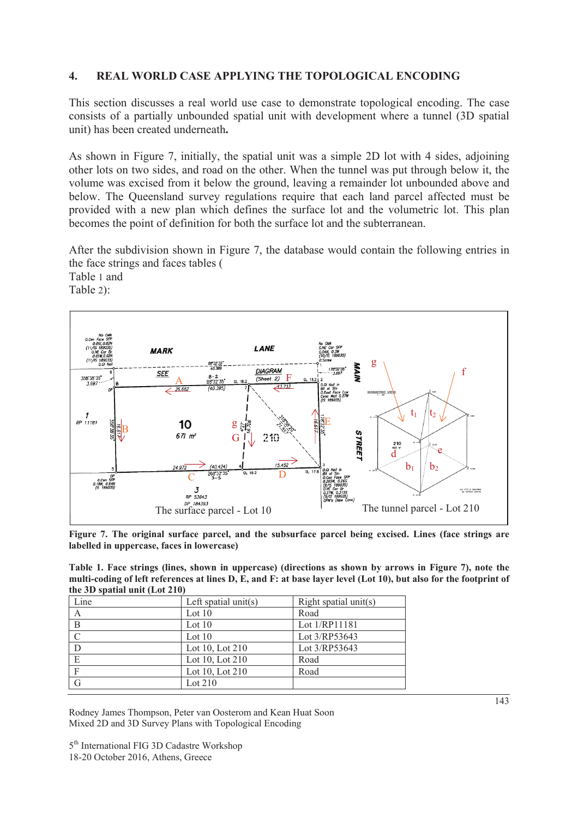#### **4. REAL WORLD CASE APPLYING THE TOPOLOGICAL ENCODING**

This section discusses a real world use case to demonstrate topological encoding. The case consists of a partially unbounded spatial unit with development where a tunnel (3D spatial unit) has been created underneath**.** 

As shown in Figure 7, initially, the spatial unit was a simple 2D lot with 4 sides, adjoining other lots on two sides, and road on the other. When the tunnel was put through below it, the volume was excised from it below the ground, leaving a remainder lot unbounded above and below. The Queensland survey regulations require that each land parcel affected must be provided with a new plan which defines the surface lot and the volumetric lot. This plan becomes the point of definition for both the surface lot and the subterranean.

After the subdivision shown in Figure 7, the database would contain the following entries in the face strings and faces tables (

Table 1 and





**Figure 7. The original surface parcel, and the subsurface parcel being excised. Lines (face strings are labelled in uppercase, faces in lowercase)** 

| Table 1. Face strings (lines, shown in uppercase) (directions as shown by arrows in Figure 7), note the           |  |
|-------------------------------------------------------------------------------------------------------------------|--|
| multi-coding of left references at lines D, E, and F: at base layer level (Lot 10), but also for the footprint of |  |
| the 3D spatial unit $(Lot 210)$                                                                                   |  |

| Line | Left spatial $unit(s)$ | Right spatial unit(s) |
|------|------------------------|-----------------------|
| Α    | Lot $10$               | Road                  |
| B    | Lot $10$               | Lot 1/RP11181         |
|      | Lot $10$               | Lot 3/RP53643         |
| D    | Lot 10, Lot 210        | Lot 3/RP53643         |
| E    | Lot 10, Lot 210        | Road                  |
| F    | Lot 10, Lot 210        | Road                  |
| G    | Lot 210                |                       |

Rodney James Thompson, Peter van Oosterom and Kean Huat Soon Mixed 2D and 3D Survey Plans with Topological Encoding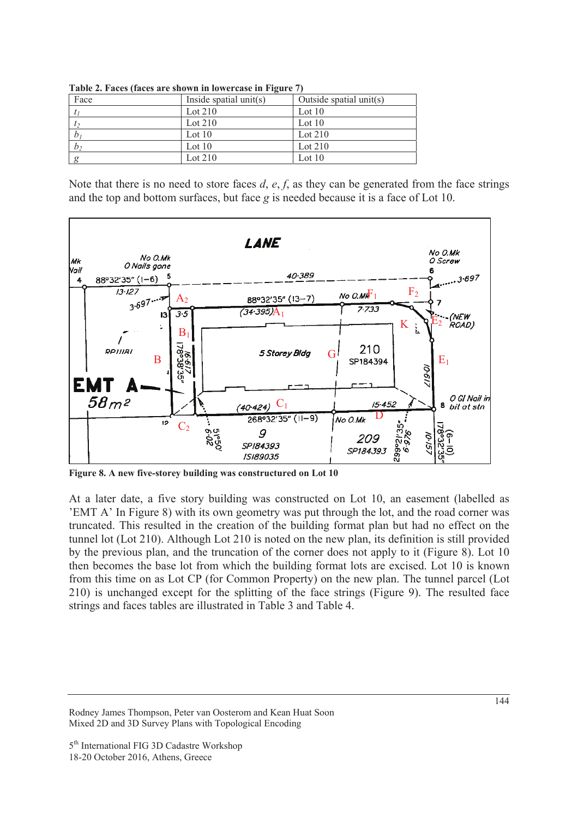| $\frac{1}{2}$ and $\frac{1}{2}$ and $\frac{1}{2}$ and $\frac{1}{2}$ are $\frac{1}{2}$ and $\frac{1}{2}$ and $\frac{1}{2}$ and $\frac{1}{2}$ and $\frac{1}{2}$ and $\frac{1}{2}$ and $\frac{1}{2}$ and $\frac{1}{2}$ and $\frac{1}{2}$ and $\frac{1}{2}$ and $\frac{1}{2}$ and $\frac{1}{2}$ a |                        |                         |  |
|-----------------------------------------------------------------------------------------------------------------------------------------------------------------------------------------------------------------------------------------------------------------------------------------------|------------------------|-------------------------|--|
| Face                                                                                                                                                                                                                                                                                          | Inside spatial unit(s) | Outside spatial unit(s) |  |
|                                                                                                                                                                                                                                                                                               | Lot $210$              | Lot $10$                |  |
| t <sub>2</sub>                                                                                                                                                                                                                                                                                | Lot $210$              | Lot $10$                |  |
| b <sub>I</sub>                                                                                                                                                                                                                                                                                | Lot $10$               | Lot $210$               |  |
| b <sub>2</sub>                                                                                                                                                                                                                                                                                | Lot $10$               | Lot $210$               |  |
| $\mathfrak{g}$                                                                                                                                                                                                                                                                                | Lot $210$              | Lot $10$                |  |

**Table 2. Faces (faces are shown in lowercase in Figure 7)** 

Note that there is no need to store faces *d*, *e*, *f*, as they can be generated from the face strings and the top and bottom surfaces, but face *g* is needed because it is a face of Lot 10.



**Figure 8. A new five-storey building was constructured on Lot 10** 

At a later date, a five story building was constructed on Lot 10, an easement (labelled as 'EMT A' In Figure 8) with its own geometry was put through the lot, and the road corner was truncated. This resulted in the creation of the building format plan but had no effect on the tunnel lot (Lot 210). Although Lot 210 is noted on the new plan, its definition is still provided by the previous plan, and the truncation of the corner does not apply to it (Figure 8). Lot 10 then becomes the base lot from which the building format lots are excised. Lot 10 is known from this time on as Lot CP (for Common Property) on the new plan. The tunnel parcel (Lot 210) is unchanged except for the splitting of the face strings (Figure 9). The resulted face strings and faces tables are illustrated in Table 3 and Table 4.

Rodney James Thompson, Peter van Oosterom and Kean Huat Soon Mixed 2D and 3D Survey Plans with Topological Encoding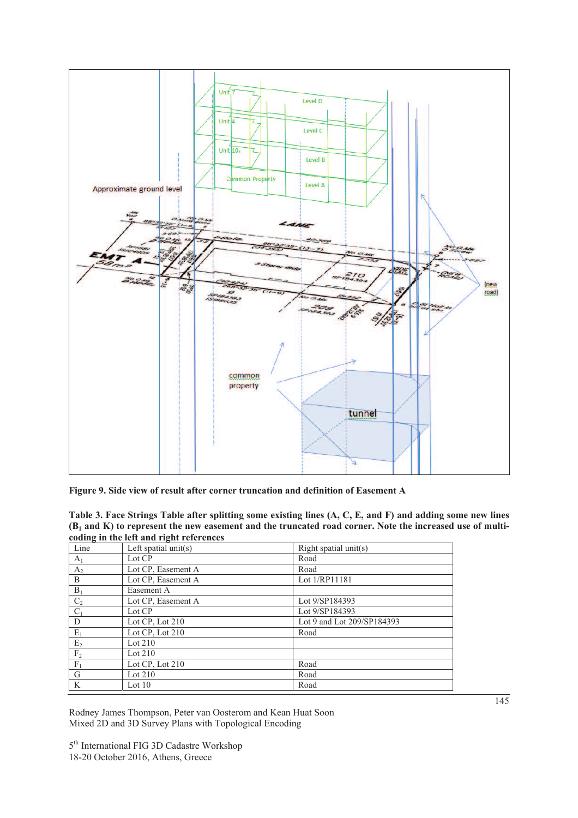

**Figure 9. Side view of result after corner truncation and definition of Easement A** 

| Table 3. Face Strings Table after splitting some existing lines (A, C, E, and F) and adding some new lines |
|------------------------------------------------------------------------------------------------------------|
| $(B1$ and K) to represent the new easement and the truncated road corner. Note the increased use of multi- |
| coding in the left and right references                                                                    |

| Line           | wang in the iere and right reference<br>Left spatial unit(s) | Right spatial unit(s)      |
|----------------|--------------------------------------------------------------|----------------------------|
| A <sub>1</sub> | Lot CP                                                       | Road                       |
| $A_2$          | Lot CP, Easement A                                           | Road                       |
| B              | Lot CP, Easement A                                           | Lot 1/RP11181              |
| $B_1$          | Easement A                                                   |                            |
| C <sub>2</sub> | Lot CP, Easement A                                           | Lot 9/SP184393             |
| $C_1$          | Lot CP                                                       | Lot 9/SP184393             |
| D              | Lot CP, Lot 210                                              | Lot 9 and Lot 209/SP184393 |
| $E_1$          | Lot $CP$ , Lot $210$                                         | Road                       |
| $\mathrm{E}_2$ | Lot $210$                                                    |                            |
| $\rm F_2$      | Lot $210$                                                    |                            |
| $F_1$          | Lot $CP$ , Lot $210$                                         | Road                       |
| G              | Lot $210$                                                    | Road                       |
| K              | Lot $10$                                                     | Road                       |

Rodney James Thompson, Peter van Oosterom and Kean Huat Soon Mixed 2D and 3D Survey Plans with Topological Encoding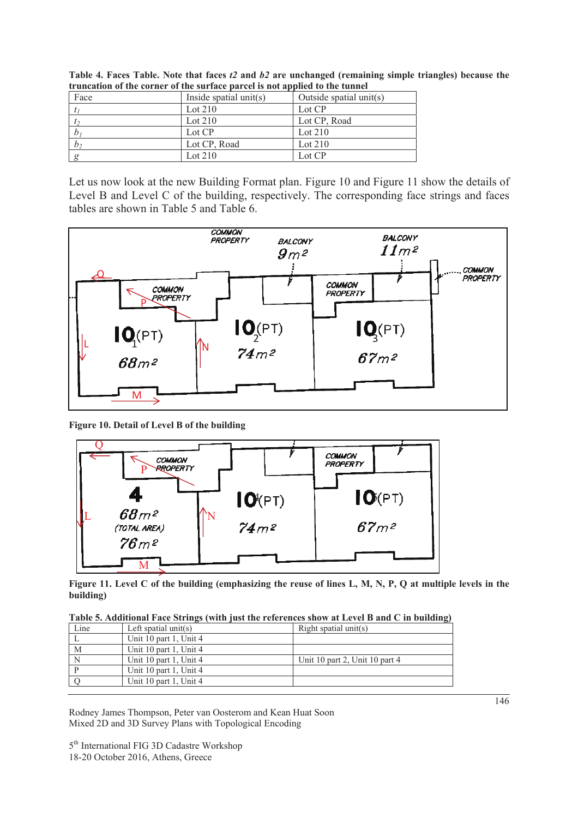| Face           | Inside spatial unit(s) | Outside spatial unit(s) |
|----------------|------------------------|-------------------------|
|                | Lot $210$              | Lot CP                  |
| l <sub>2</sub> | Lot $210$              | Lot CP, Road            |
| $b_i$          | Lot CP                 | Lot $210$               |
| b <sub>2</sub> | Lot CP, Road           | Lot $210$               |
|                | Lot $210$              | Lot CP                  |

**Table 4. Faces Table. Note that faces** *t2* **and** *b2* **are unchanged (remaining simple triangles) because the truncation of the corner of the surface parcel is not applied to the tunnel** 

Let us now look at the new Building Format plan. Figure 10 and Figure 11 show the details of Level B and Level C of the building, respectively. The corresponding face strings and faces tables are shown in Table 5 and Table 6.



**Figure 10. Detail of Level B of the building** 



**Figure 11. Level C of the building (emphasizing the reuse of lines L, M, N, P, Q at multiple levels in the building)** 

| Table 5. Additional Face Strings (with just the references show at Level B and C in building) |  |  |  |
|-----------------------------------------------------------------------------------------------|--|--|--|
|-----------------------------------------------------------------------------------------------|--|--|--|

|      | $\frac{1}{2}$ which is a contract of the state of $\frac{1}{2}$ (next $\frac{1}{2}$ and $\frac{1}{2}$ and $\frac{1}{2}$ and $\frac{1}{2}$ and $\frac{1}{2}$ and $\frac{1}{2}$ and $\frac{1}{2}$ and $\frac{1}{2}$ and $\frac{1}{2}$ and $\frac{1}{2}$ and $\frac{1}{2}$ and $\frac{1$ |                                |
|------|---------------------------------------------------------------------------------------------------------------------------------------------------------------------------------------------------------------------------------------------------------------------------------------|--------------------------------|
| Line | Left spatial unit(s)                                                                                                                                                                                                                                                                  | Right spatial unit(s)          |
|      | Unit 10 part 1, Unit 4                                                                                                                                                                                                                                                                |                                |
| M    | Unit 10 part 1, Unit 4                                                                                                                                                                                                                                                                |                                |
|      | Unit 10 part 1, Unit 4                                                                                                                                                                                                                                                                | Unit 10 part 2, Unit 10 part 4 |
|      | Unit 10 part 1, Unit 4                                                                                                                                                                                                                                                                |                                |
|      | Unit 10 part 1, Unit 4                                                                                                                                                                                                                                                                |                                |
|      |                                                                                                                                                                                                                                                                                       |                                |

Rodney James Thompson, Peter van Oosterom and Kean Huat Soon Mixed 2D and 3D Survey Plans with Topological Encoding

5<sup>th</sup> International FIG 3D Cadastre Workshop 18-20 October 2016, Athens, Greece

146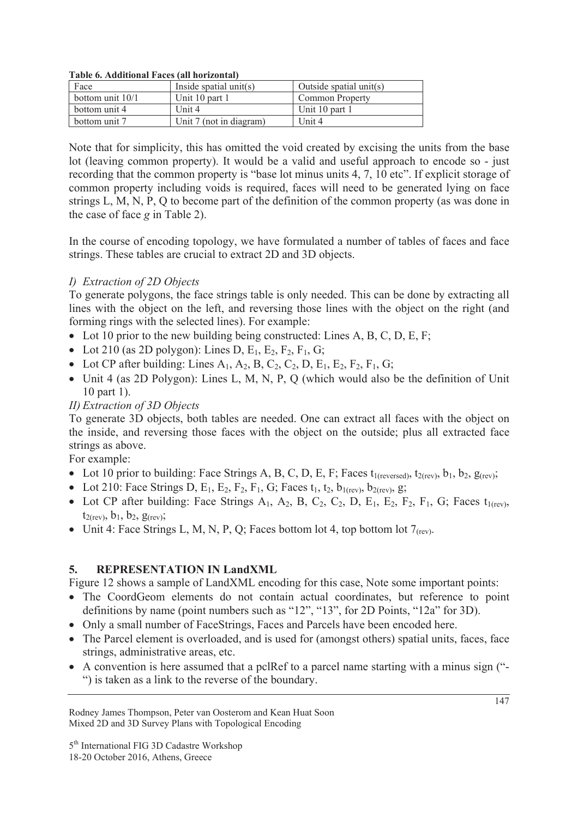#### **Table 6. Additional Faces (all horizontal)**

| Face               | Inside spatial unit(s)  | Outside spatial unit(s) |
|--------------------|-------------------------|-------------------------|
| bottom unit $10/1$ | Unit 10 part 1          | <b>Common Property</b>  |
| bottom unit 4      | Unit $4$                | Unit 10 part 1          |
| bottom unit 7      | Unit 7 (not in diagram) | Unit 4                  |

Note that for simplicity, this has omitted the void created by excising the units from the base lot (leaving common property). It would be a valid and useful approach to encode so - just recording that the common property is "base lot minus units 4, 7, 10 etc". If explicit storage of common property including voids is required, faces will need to be generated lying on face strings L, M, N, P, Q to become part of the definition of the common property (as was done in the case of face *g* in Table 2).

In the course of encoding topology, we have formulated a number of tables of faces and face strings. These tables are crucial to extract 2D and 3D objects.

#### *I) Extraction of 2D Objects*

To generate polygons, the face strings table is only needed. This can be done by extracting all lines with the object on the left, and reversing those lines with the object on the right (and forming rings with the selected lines). For example:

- Lot 10 prior to the new building being constructed: Lines A, B, C, D, E, F;
- Lot 210 (as 2D polygon): Lines D,  $E_1$ ,  $E_2$ ,  $F_2$ ,  $F_1$ , G;
- Lot CP after building: Lines A<sub>1</sub>, A<sub>2</sub>, B, C<sub>2</sub>, C<sub>2</sub>, D, E<sub>1</sub>, E<sub>2</sub>, F<sub>2</sub>, F<sub>1</sub>, G;
- Unit 4 (as 2D Polygon): Lines L, M, N, P, Q (which would also be the definition of Unit 10 part 1).

### *II) Extraction of 3D Objects*

To generate 3D objects, both tables are needed. One can extract all faces with the object on the inside, and reversing those faces with the object on the outside; plus all extracted face strings as above.

For example:

- Lot 10 prior to building: Face Strings A, B, C, D, E, F; Faces  $t_1$ (reversed),  $t_2$ (rev),  $b_1$ ,  $b_2$ ,  $g$ (rev);
- Lot 210: Face Strings D, E<sub>1</sub>, E<sub>2</sub>, F<sub>2</sub>, F<sub>1</sub>, G; Faces  $t_1, t_2, b_1$ <sub>(rev)</sub>, b<sub>2(rev)</sub>, g;
- Lot CP after building: Face Strings  $A_1$ ,  $A_2$ , B,  $C_2$ ,  $C_2$ , D,  $E_1$ ,  $E_2$ ,  $F_2$ ,  $F_1$ ,  $G$ ; Faces  $t_{1(rev)}$ ,  $t_{2(rev)}$ ,  $b_1$ ,  $b_2$ ,  $g_{(rev)}$ ;
- Unit 4: Face Strings L, M, N, P, Q; Faces bottom lot 4, top bottom lot  $7_{\text{(rev)}}$ .

#### **5. REPRESENTATION IN LandXML**

Figure 12 shows a sample of LandXML encoding for this case, Note some important points:

- The CoordGeom elements do not contain actual coordinates, but reference to point definitions by name (point numbers such as "12", "13", for 2D Points, "12a" for 3D).
- Only a small number of FaceStrings, Faces and Parcels have been encoded here.
- The Parcel element is overloaded, and is used for (amongst others) spatial units, faces, face strings, administrative areas, etc.
- $\bullet$  A convention is here assumed that a pclRef to a parcel name starting with a minus sign ("-") is taken as a link to the reverse of the boundary.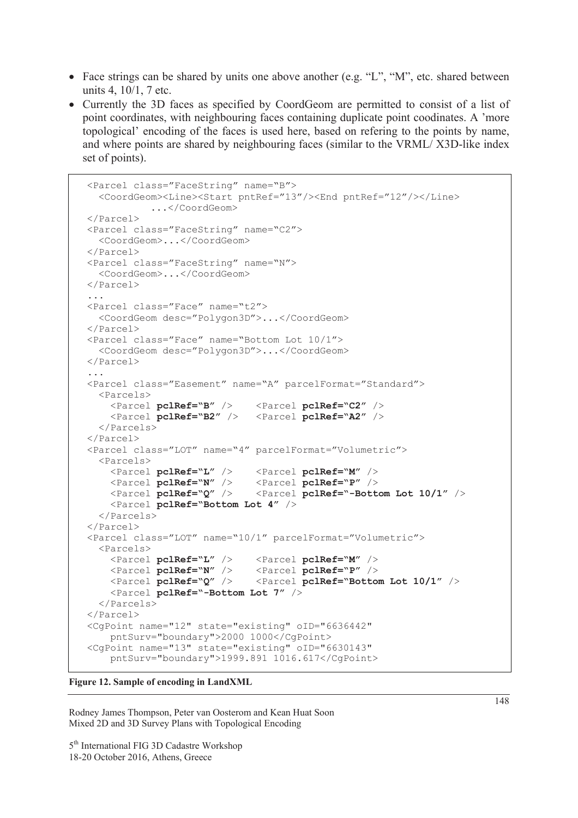- Face strings can be shared by units one above another (e.g. "L", "M", etc. shared between units 4, 10/1, 7 etc.
- Currently the 3D faces as specified by CoordGeom are permitted to consist of a list of point coordinates, with neighbouring faces containing duplicate point coodinates. A 'more topological' encoding of the faces is used here, based on refering to the points by name, and where points are shared by neighbouring faces (similar to the VRML/ X3D-like index set of points).

```
<Parcel class="FaceString" name="B"> 
   <CoordGeom><Line><Start pntRef="13"/><End pntRef="12"/></Line> 
           ...</CoordGeom> 
</Parcel> 
<Parcel class="FaceString" name="C2"> 
   <CoordGeom>...</CoordGeom> 
</Parcel> 
<Parcel class="FaceString" name="N"> 
   <CoordGeom>...</CoordGeom> 
</Parcel> 
... 
<Parcel class="Face" name="t2"> 
   <CoordGeom desc="Polygon3D">...</CoordGeom> 
</Parcel> 
<Parcel class="Face" name="Bottom Lot 10/1"> 
   <CoordGeom desc="Polygon3D">...</CoordGeom> 
</Parcel> 
... 
<Parcel class="Easement" name="A" parcelFormat="Standard"> 
   <Parcels> 
     <Parcel pclRef="B" /> <Parcel pclRef="C2" /> 
     <Parcel pclRef="B2" /> <Parcel pclRef="A2" /> 
   </Parcels> 
</Parcel> 
<Parcel class="LOT" name="4" parcelFormat="Volumetric"> 
   <Parcels> 
     <Parcel pclRef="L" /> <Parcel pclRef="M" /> 
     <Parcel pclRef="N" /> <Parcel pclRef="P" /> 
     <Parcel pclRef="Q" /> <Parcel pclRef="-Bottom Lot 10/1" /> 
     <Parcel pclRef="Bottom Lot 4" /> 
   </Parcels> 
</Parcel> 
<Parcel class="LOT" name="10/1" parcelFormat="Volumetric"> 
   <Parcels> 
     <Parcel pclRef="L" /> <Parcel pclRef="M" /> 
     <Parcel pclRef="N" /> <Parcel pclRef="P" /> 
     <Parcel pclRef="Q" /> <Parcel pclRef="Bottom Lot 10/1" /> 
     <Parcel pclRef="-Bottom Lot 7" /> 
   </Parcels> 
</Parcel> 
<CgPoint name="12" state="existing" oID="6636442" 
     pntSurv="boundary">2000 1000</CgPoint> 
<CgPoint name="13" state="existing" oID="6630143" 
     pntSurv="boundary">1999.891 1016.617</CgPoint>
```
**Figure 12. Sample of encoding in LandXML** 

Rodney James Thompson, Peter van Oosterom and Kean Huat Soon Mixed 2D and 3D Survey Plans with Topological Encoding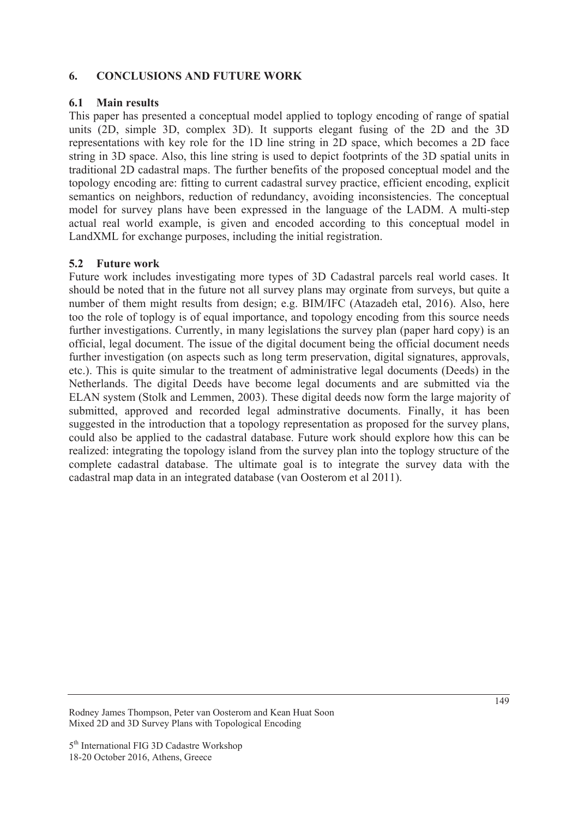#### **6. CONCLUSIONS AND FUTURE WORK**

#### **6.1 Main results**

This paper has presented a conceptual model applied to toplogy encoding of range of spatial units (2D, simple 3D, complex 3D). It supports elegant fusing of the 2D and the 3D representations with key role for the 1D line string in 2D space, which becomes a 2D face string in 3D space. Also, this line string is used to depict footprints of the 3D spatial units in traditional 2D cadastral maps. The further benefits of the proposed conceptual model and the topology encoding are: fitting to current cadastral survey practice, efficient encoding, explicit semantics on neighbors, reduction of redundancy, avoiding inconsistencies. The conceptual model for survey plans have been expressed in the language of the LADM. A multi-step actual real world example, is given and encoded according to this conceptual model in LandXML for exchange purposes, including the initial registration.

#### **5.2 Future work**

Future work includes investigating more types of 3D Cadastral parcels real world cases. It should be noted that in the future not all survey plans may orginate from surveys, but quite a number of them might results from design; e.g. BIM/IFC (Atazadeh etal, 2016). Also, here too the role of toplogy is of equal importance, and topology encoding from this source needs further investigations. Currently, in many legislations the survey plan (paper hard copy) is an official, legal document. The issue of the digital document being the official document needs further investigation (on aspects such as long term preservation, digital signatures, approvals, etc.). This is quite simular to the treatment of administrative legal documents (Deeds) in the Netherlands. The digital Deeds have become legal documents and are submitted via the ELAN system (Stolk and Lemmen, 2003). These digital deeds now form the large majority of submitted, approved and recorded legal adminstrative documents. Finally, it has been suggested in the introduction that a topology representation as proposed for the survey plans, could also be applied to the cadastral database. Future work should explore how this can be realized: integrating the topology island from the survey plan into the toplogy structure of the complete cadastral database. The ultimate goal is to integrate the survey data with the cadastral map data in an integrated database (van Oosterom et al 2011).

Rodney James Thompson, Peter van Oosterom and Kean Huat Soon Mixed 2D and 3D Survey Plans with Topological Encoding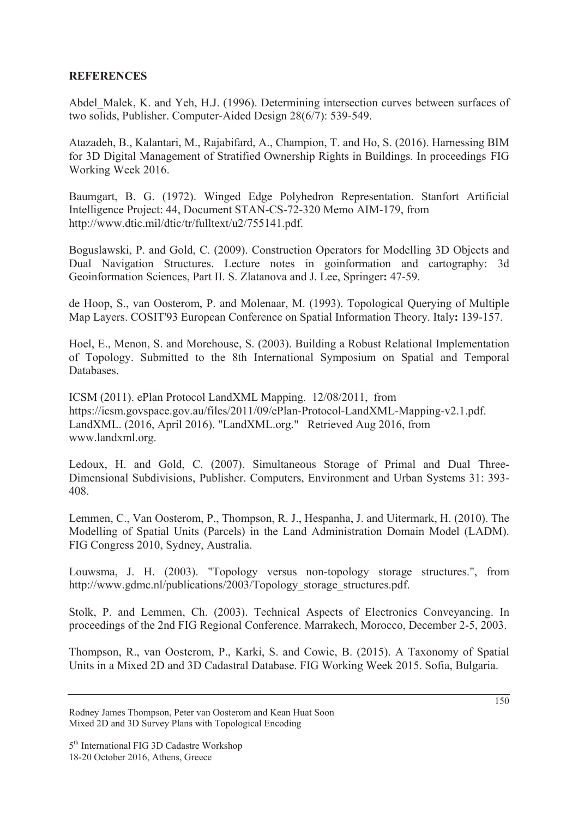#### **REFERENCES**

Abdel Malek, K. and Yeh, H.J. (1996). Determining intersection curves between surfaces of two solids, Publisher. Computer-Aided Design 28(6/7): 539-549.

Atazadeh, B., Kalantari, M., Rajabifard, A., Champion, T. and Ho, S. (2016). Harnessing BIM for 3D Digital Management of Stratified Ownership Rights in Buildings. In proceedings FIG Working Week 2016.

Baumgart, B. G. (1972). Winged Edge Polyhedron Representation. Stanfort Artificial Intelligence Project: 44, Document STAN-CS-72-320 Memo AIM-179, from http://www.dtic.mil/dtic/tr/fulltext/u2/755141.pdf.

Boguslawski, P. and Gold, C. (2009). Construction Operators for Modelling 3D Objects and Dual Navigation Structures. Lecture notes in goinformation and cartography: 3d Geoinformation Sciences, Part II. S. Zlatanova and J. Lee, Springer**:** 47-59.

de Hoop, S., van Oosterom, P. and Molenaar, M. (1993). Topological Querying of Multiple Map Layers. COSIT'93 European Conference on Spatial Information Theory. Italy**:** 139-157.

Hoel, E., Menon, S. and Morehouse, S. (2003). Building a Robust Relational Implementation of Topology. Submitted to the 8th International Symposium on Spatial and Temporal Databases.

ICSM (2011). ePlan Protocol LandXML Mapping. 12/08/2011, from https://icsm.govspace.gov.au/files/2011/09/ePlan-Protocol-LandXML-Mapping-v2.1.pdf. LandXML. (2016, April 2016). "LandXML.org." Retrieved Aug 2016, from www.landxml.org.

Ledoux, H. and Gold, C. (2007). Simultaneous Storage of Primal and Dual Three-Dimensional Subdivisions, Publisher. Computers, Environment and Urban Systems 31: 393- 408.

Lemmen, C., Van Oosterom, P., Thompson, R. J., Hespanha, J. and Uitermark, H. (2010). The Modelling of Spatial Units (Parcels) in the Land Administration Domain Model (LADM). FIG Congress 2010, Sydney, Australia.

Louwsma, J. H. (2003). "Topology versus non-topology storage structures.", from http://www.gdmc.nl/publications/2003/Topology\_storage\_structures.pdf.

Stolk, P. and Lemmen, Ch. (2003). Technical Aspects of Electronics Conveyancing. In proceedings of the 2nd FIG Regional Conference. Marrakech, Morocco, December 2-5, 2003.

Thompson, R., van Oosterom, P., Karki, S. and Cowie, B. (2015). A Taxonomy of Spatial Units in a Mixed 2D and 3D Cadastral Database. FIG Working Week 2015. Sofia, Bulgaria.

Rodney James Thompson, Peter van Oosterom and Kean Huat Soon Mixed 2D and 3D Survey Plans with Topological Encoding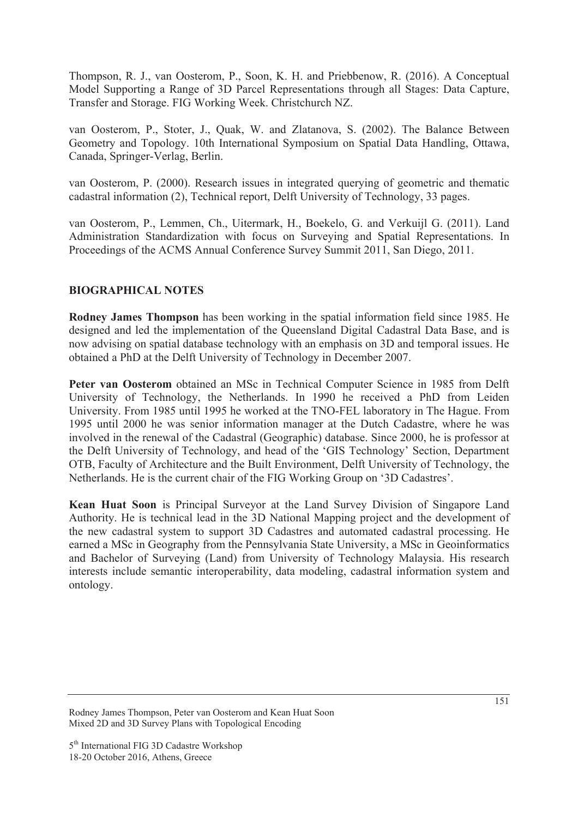Thompson, R. J., van Oosterom, P., Soon, K. H. and Priebbenow, R. (2016). A Conceptual Model Supporting a Range of 3D Parcel Representations through all Stages: Data Capture, Transfer and Storage. FIG Working Week. Christchurch NZ.

van Oosterom, P., Stoter, J., Quak, W. and Zlatanova, S. (2002). The Balance Between Geometry and Topology. 10th International Symposium on Spatial Data Handling, Ottawa, Canada, Springer-Verlag, Berlin.

van Oosterom, P. (2000). Research issues in integrated querying of geometric and thematic cadastral information (2), Technical report, Delft University of Technology, 33 pages.

van Oosterom, P., Lemmen, Ch., Uitermark, H., Boekelo, G. and Verkuijl G. (2011). Land Administration Standardization with focus on Surveying and Spatial Representations. In Proceedings of the ACMS Annual Conference Survey Summit 2011, San Diego, 2011.

### **BIOGRAPHICAL NOTES**

**Rodney James Thompson** has been working in the spatial information field since 1985. He designed and led the implementation of the Queensland Digital Cadastral Data Base, and is now advising on spatial database technology with an emphasis on 3D and temporal issues. He obtained a PhD at the Delft University of Technology in December 2007.

**Peter van Oosterom** obtained an MSc in Technical Computer Science in 1985 from Delft University of Technology, the Netherlands. In 1990 he received a PhD from Leiden University. From 1985 until 1995 he worked at the TNO-FEL laboratory in The Hague. From 1995 until 2000 he was senior information manager at the Dutch Cadastre, where he was involved in the renewal of the Cadastral (Geographic) database. Since 2000, he is professor at the Delft University of Technology, and head of the 'GIS Technology' Section, Department OTB, Faculty of Architecture and the Built Environment, Delft University of Technology, the Netherlands. He is the current chair of the FIG Working Group on '3D Cadastres'.

**Kean Huat Soon** is Principal Surveyor at the Land Survey Division of Singapore Land Authority. He is technical lead in the 3D National Mapping project and the development of the new cadastral system to support 3D Cadastres and automated cadastral processing. He earned a MSc in Geography from the Pennsylvania State University, a MSc in Geoinformatics and Bachelor of Surveying (Land) from University of Technology Malaysia. His research interests include semantic interoperability, data modeling, cadastral information system and ontology.

Rodney James Thompson, Peter van Oosterom and Kean Huat Soon Mixed 2D and 3D Survey Plans with Topological Encoding